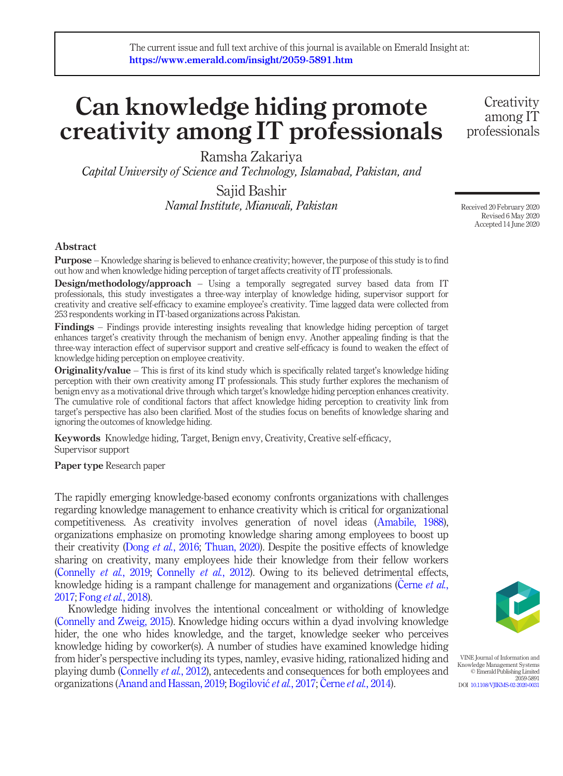# Can knowledge hiding promote creativity among IT professionals

Ramsha Zakariya

Capital University of Science and Technology, Islamabad, Pakistan, and

Sajid Bashir Namal Institute, Mianwali, Pakistan

Received 20 February 2020 Revised 6 May 2020 Accepted 14 June 2020

**Creativity** among IT professionals

#### Abstract

Purpose – Knowledge sharing is believed to enhance creativity; however, the purpose of this study is to find out how and when knowledge hiding perception of target affects creativity of IT professionals.

Design/methodology/approach – Using a temporally segregated survey based data from IT professionals, this study investigates a three-way interplay of knowledge hiding, supervisor support for creativity and creative self-efficacy to examine employee's creativity. Time lagged data were collected from 253 respondents working in IT-based organizations across Pakistan.

Findings – Findings provide interesting insights revealing that knowledge hiding perception of target enhances target's creativity through the mechanism of benign envy. Another appealing finding is that the three-way interaction effect of supervisor support and creative self-efficacy is found to weaken the effect of knowledge hiding perception on employee creativity.

Originality/value – This is first of its kind study which is specifically related target's knowledge hiding perception with their own creativity among IT professionals. This study further explores the mechanism of benign envy as a motivational drive through which target's knowledge hiding perception enhances creativity. The cumulative role of conditional factors that affect knowledge hiding perception to creativity link from target's perspective has also been clarified. Most of the studies focus on benefits of knowledge sharing and ignoring the outcomes of knowledge hiding.

Keywords Knowledge hiding, Target, Benign envy, Creativity, Creative self-efficacy, Supervisor support

Paper type Research paper

The rapidly emerging knowledge-based economy confronts organizations with challenges regarding knowledge management to enhance creativity which is critical for organizational competitiveness. As creativity involves generation of novel ideas [\(Amabile, 1988\)](#page-14-0), organizations emphasize on promoting knowledge sharing among employees to boost up their creativity (Dong et al.[, 2016;](#page-15-0) [Thuan, 2020\)](#page-17-0). Despite the positive effects of knowledge sharing on creativity, many employees hide their knowledge from their fellow workers [\(Connelly](#page-15-1) et al., 2019; [Connelly](#page-15-2) et al., 2012). Owing to its believed detrimental effects, knowledge hiding is a rampant challenge for management and organizations ([Cerne](#page-14-1) et al., [2017;](#page-14-1) Fong et al.[, 2018](#page-15-3)).

Knowledge hiding involves the intentional concealment or witholding of knowledge [\(Connelly and Zweig, 2015](#page-14-2)). Knowledge hiding occurs within a dyad involving knowledge hider, the one who hides knowledge, and the target, knowledge seeker who perceives knowledge hiding by coworker(s). A number of studies have examined knowledge hiding from hider's perspective including its types, namley, evasive hiding, rationalized hiding and playing dumb ([Connelly](#page-15-2) et al., 2012), antecedents and consequences for both employees and organizations ([Anand and Hassan, 2019;](#page-14-3) [Bogilovi](#page-14-4)ć et al., 2017; Černe et al.[, 2014\)](#page-14-5).



VINE Journal of Information and Knowledge Management Systems © Emerald Publishing Limited 2059-5891 DOI [10.1108/VJIKMS-02-2020-0031](http://dx.doi.org/10.1108/VJIKMS-02-2020-0031)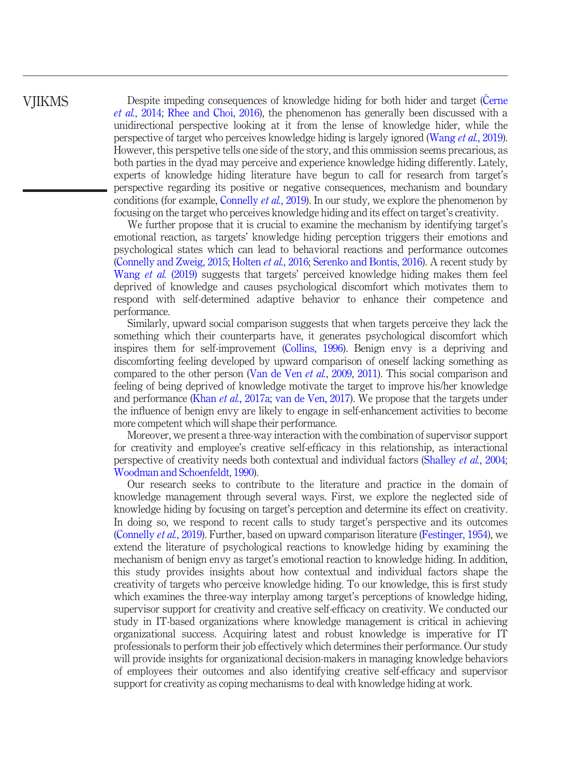Despite impeding consequences of knowledge hiding for both hider and target ([Cerne](#page-14-5) et al.[, 2014;](#page-14-5) [Rhee and Choi, 2016](#page-16-0)), the phenomenon has generally been discussed with a unidirectional perspective looking at it from the lense of knowledge hider, while the perspective of target who perceives knowledge hiding is largely ignored [\(Wang](#page-17-1) et al., 2019). However, this perspetive tells one side of the story, and this ommission seems precarious, as both parties in the dyad may perceive and experience knowledge hiding differently. Lately, experts of knowledge hiding literature have begun to call for research from target's perspective regarding its positive or negative consequences, mechanism and boundary conditions (for example, [Connelly](#page-15-1) *et al.*, 2019). In our study, we explore the phenomenon by focusing on the target who perceives knowledge hiding and its effect on target's creativity.

We further propose that it is crucial to examine the mechanism by identifying target's emotional reaction, as targets' knowledge hiding perception triggers their emotions and psychological states which can lead to behavioral reactions and performance outcomes [\(Connelly and Zweig, 2015;](#page-14-2) [Holten](#page-15-4) et al., 2016; [Serenko and Bontis, 2016](#page-16-1)). A recent study by [Wang](#page-17-1) et al. (2019) suggests that targets' perceived knowledge hiding makes them feel deprived of knowledge and causes psychological discomfort which motivates them to respond with self-determined adaptive behavior to enhance their competence and performance.

Similarly, upward social comparison suggests that when targets perceive they lack the something which their counterparts have, it generates psychological discomfort which inspires them for self-improvement ([Collins, 1996\)](#page-14-6). Benign envy is a depriving and discomforting feeling developed by upward comparison of oneself lacking something as compared to the other person ([Van de Ven](#page-17-2) et al., 2009, [2011](#page-17-3)). This social comparison and feeling of being deprived of knowledge motivate the target to improve his/her knowledge and performance (Khan et al.[, 2017a;](#page-15-5) [van de Ven, 2017\)](#page-17-4). We propose that the targets under the influence of benign envy are likely to engage in self-enhancement activities to become more competent which will shape their performance.

Moreover, we present a three-way interaction with the combination of supervisor support for creativity and employee's creative self-efficacy in this relationship, as interactional perspective of creativity needs both contextual and individual factors ([Shalley](#page-17-5) et al., 2004; [Woodman and Schoenfeldt, 1990](#page-18-0)).

Our research seeks to contribute to the literature and practice in the domain of knowledge management through several ways. First, we explore the neglected side of knowledge hiding by focusing on target's perception and determine its effect on creativity. In doing so, we respond to recent calls to study target's perspective and its outcomes [\(Connelly](#page-15-1) et al., 2019). Further, based on upward comparison literature [\(Festinger, 1954\)](#page-15-6), we extend the literature of psychological reactions to knowledge hiding by examining the mechanism of benign envy as target's emotional reaction to knowledge hiding. In addition, this study provides insights about how contextual and individual factors shape the creativity of targets who perceive knowledge hiding. To our knowledge, this is first study which examines the three-way interplay among target's perceptions of knowledge hiding, supervisor support for creativity and creative self-efficacy on creativity. We conducted our study in IT-based organizations where knowledge management is critical in achieving organizational success. Acquiring latest and robust knowledge is imperative for IT professionals to perform their job effectively which determines their performance. Our study will provide insights for organizational decision-makers in managing knowledge behaviors of employees their outcomes and also identifying creative self-efficacy and supervisor support for creativity as coping mechanisms to deal with knowledge hiding at work.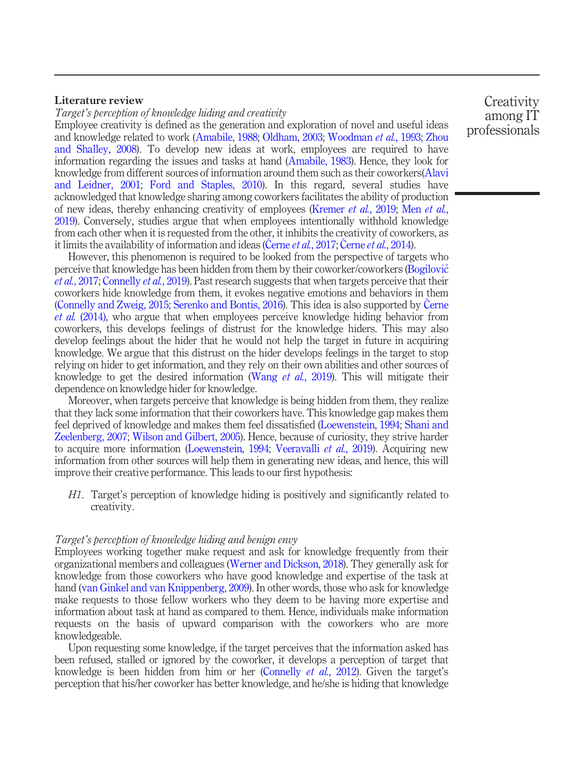#### Literature review

Target's perception of knowledge hiding and creativity

Employee creativity is defined as the generation and exploration of novel and useful ideas and knowledge related to work [\(Amabile, 1988;](#page-14-0) [Oldham, 2003;](#page-16-2) [Woodman](#page-18-1) et al., 1993; [Zhou](#page-18-2) [and Shalley, 2008\)](#page-18-2). To develop new ideas at work, employees are required to have information regarding the issues and tasks at hand ([Amabile, 1983\)](#page-14-7). Hence, they look for knowledge from different sources of information around them such as their coworkers[\(Alavi](#page-14-8) [and Leidner, 2001](#page-14-8); [Ford and Staples, 2010\)](#page-15-7). In this regard, several studies have acknowledged that knowledge sharing among coworkers facilitates the ability of production of new ideas, thereby enhancing creativity of employees ([Kremer](#page-16-3) et al., 2019; Men [et al.](#page-16-4), [2019\)](#page-16-4). Conversely, studies argue that when employees intentionally withhold knowledge from each other when it is requested from the other, it inhibits the creativity of coworkers, as it limits the availability of information and ideas (Cerne et al.[, 2017;](#page-14-1) [Cerne](#page-14-5) et al., 2014).

However, this phenomenon is required to be looked from the perspective of targets who perceive that knowledge has been hidden from them by their coworker/coworkers [\(Bogilovi](#page-14-4)c et al.[, 2017](#page-14-4); [Connelly](#page-15-1) et al., 2019). Past research suggests that when targets perceive that their coworkers hide knowledge from them, it evokes negative emotions and behaviors in them [\(Connelly and Zweig, 2015;](#page-14-2) [Serenko and Bontis, 2016\)](#page-16-1). This idea is also supported by [Cerne](#page-14-5) et al. [\(2014\),](#page-14-5) who argue that when employees perceive knowledge hiding behavior from coworkers, this develops feelings of distrust for the knowledge hiders. This may also develop feelings about the hider that he would not help the target in future in acquiring knowledge. We argue that this distrust on the hider develops feelings in the target to stop relying on hider to get information, and they rely on their own abilities and other sources of knowledge to get the desired information (Wang *et al.*[, 2019\)](#page-17-1). This will mitigate their dependence on knowledge hider for knowledge.

Moreover, when targets perceive that knowledge is being hidden from them, they realize that they lack some information that their coworkers have. This knowledge gap makes them feel deprived of knowledge and makes them feel dissatisfied [\(Loewenstein, 1994;](#page-16-5) [Shani and](#page-17-6) [Zeelenberg, 2007;](#page-17-6) [Wilson and Gilbert, 2005\)](#page-18-3). Hence, because of curiosity, they strive harder to acquire more information ([Loewenstein, 1994;](#page-16-5) [Veeravalli](#page-17-7) *et al.*, 2019). Acquiring new information from other sources will help them in generating new ideas, and hence, this will improve their creative performance. This leads to our first hypothesis:

H1. Target's perception of knowledge hiding is positively and significantly related to creativity.

#### Target's perception of knowledge hiding and benign envy

Employees working together make request and ask for knowledge frequently from their organizational members and colleagues [\(Werner and Dickson, 2018\)](#page-17-8). They generally ask for knowledge from those coworkers who have good knowledge and expertise of the task at hand [\(van Ginkel and van Knippenberg, 2009](#page-17-9)). In other words, those who ask for knowledge make requests to those fellow workers who they deem to be having more expertise and information about task at hand as compared to them. Hence, individuals make information requests on the basis of upward comparison with the coworkers who are more knowledgeable.

Upon requesting some knowledge, if the target perceives that the information asked has been refused, stalled or ignored by the coworker, it develops a perception of target that knowledge is been hidden from him or her ([Connelly](#page-15-2) et al., 2012). Given the target's perception that his/her coworker has better knowledge, and he/she is hiding that knowledge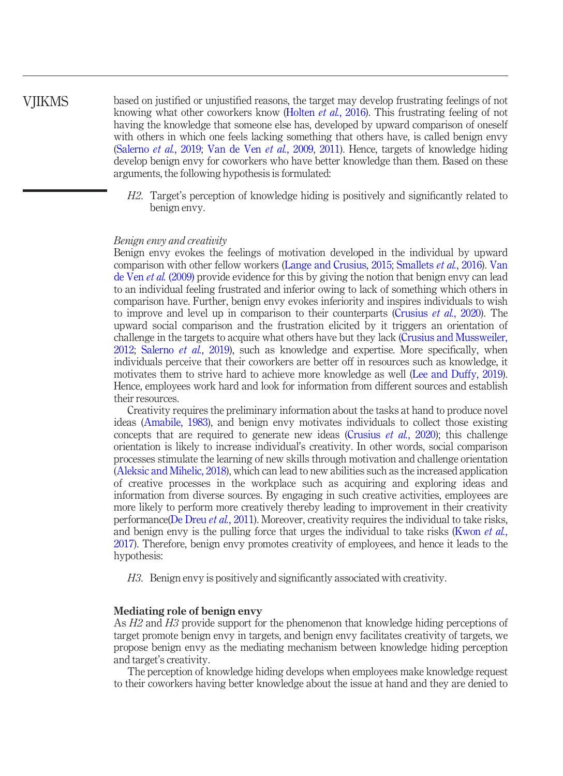based on justified or unjustified reasons, the target may develop frustrating feelings of not knowing what other coworkers know [\(Holten](#page-15-4) *et al.*, 2016). This frustrating feeling of not having the knowledge that someone else has, developed by upward comparison of oneself with others in which one feels lacking something that others have, is called benign envy [\(Salerno](#page-16-6) et al., 2019; [Van de Ven](#page-17-2) et al., 2009, [2011\)](#page-17-3). Hence, targets of knowledge hiding develop benign envy for coworkers who have better knowledge than them. Based on these arguments, the following hypothesis is formulated:

H2. Target's perception of knowledge hiding is positively and significantly related to benign envy.

#### Benign envy and creativity

Benign envy evokes the feelings of motivation developed in the individual by upward comparison with other fellow workers ([Lange and Crusius, 2015](#page-16-7); [Smallets](#page-17-10) et al., 2016). [Van](#page-17-2) [de Ven](#page-17-2) *et al.* (2009) provide evidence for this by giving the notion that benign envy can lead to an individual feeling frustrated and inferior owing to lack of something which others in comparison have. Further, benign envy evokes inferiority and inspires individuals to wish to improve and level up in comparison to their counterparts [\(Crusius](#page-15-8) *et al.*, 2020). The upward social comparison and the frustration elicited by it triggers an orientation of challenge in the targets to acquire what others have but they lack ([Crusius and Mussweiler,](#page-15-9) [2012](#page-15-9); [Salerno](#page-16-6) et al., 2019), such as knowledge and expertise. More specifically, when individuals perceive that their coworkers are better off in resources such as knowledge, it motivates them to strive hard to achieve more knowledge as well ([Lee and Duffy, 2019\)](#page-16-8). Hence, employees work hard and look for information from different sources and establish their resources.

Creativity requires the preliminary information about the tasks at hand to produce novel ideas [\(Amabile, 1983](#page-14-7)), and benign envy motivates individuals to collect those existing concepts that are required to generate new ideas ([Crusius](#page-15-8) *et al.*, 2020); this challenge orientation is likely to increase individual's creativity. In other words, social comparison processes stimulate the learning of new skills through motivation and challenge orientation [\(Aleksic and Mihelic, 2018](#page-14-9)), which can lead to new abilities such as the increased application of creative processes in the workplace such as acquiring and exploring ideas and information from diverse sources. By engaging in such creative activities, employees are more likely to perform more creatively thereby leading to improvement in their creativity performance([De Dreu](#page-15-10) et al., 2011). Moreover, creativity requires the individual to take risks, and benign envy is the pulling force that urges the individual to take risks ([Kwon](#page-16-9) *et al.*, [2017](#page-16-9)). Therefore, benign envy promotes creativity of employees, and hence it leads to the hypothesis:

H3. Benign envy is positively and significantly associated with creativity.

#### Mediating role of benign envy

As H<sub>2</sub> and H<sub>3</sub> provide support for the phenomenon that knowledge hiding perceptions of target promote benign envy in targets, and benign envy facilitates creativity of targets, we propose benign envy as the mediating mechanism between knowledge hiding perception and target's creativity.

The perception of knowledge hiding develops when employees make knowledge request to their coworkers having better knowledge about the issue at hand and they are denied to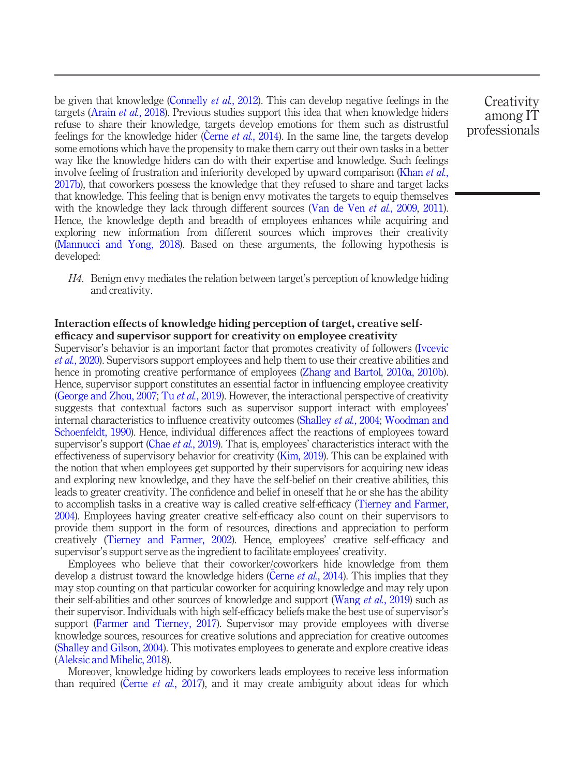be given that knowledge ([Connelly](#page-15-2) *et al.*, 2012). This can develop negative feelings in the targets [\(Arain](#page-14-10) et al., 2018). Previous studies support this idea that when knowledge hiders refuse to share their knowledge, targets develop emotions for them such as distrustful feelings for the knowledge hider (Cerne et al.[, 2014](#page-14-5)). In the same line, the targets develop some emotions which have the propensity to make them carry out their own tasks in a better way like the knowledge hiders can do with their expertise and knowledge. Such feelings involve feeling of frustration and inferiority developed by upward comparison [\(Khan](#page-15-11) et al., [2017b](#page-15-11)), that coworkers possess the knowledge that they refused to share and target lacks that knowledge. This feeling that is benign envy motivates the targets to equip themselves with the knowledge they lack through different sources ([Van de Ven](#page-17-2) et al., 2009, [2011\)](#page-17-3). Hence, the knowledge depth and breadth of employees enhances while acquiring and exploring new information from different sources which improves their creativity [\(Mannucci and Yong, 2018\)](#page-16-10). Based on these arguments, the following hypothesis is developed:

H4. Benign envy mediates the relation between target's perception of knowledge hiding and creativity.

#### Interaction effects of knowledge hiding perception of target, creative selfefficacy and supervisor support for creativity on employee creativity

Supervisor's behavior is an important factor that promotes creativity of followers [\(Ivcevic](#page-15-12) et al.[, 2020](#page-15-12)). Supervisors support employees and help them to use their creative abilities and hence in promoting creative performance of employees [\(Zhang and Bartol,](#page-18-4) [2010a, 2010b\)](#page-18-5). Hence, supervisor support constitutes an essential factor in influencing employee creativity [\(George and Zhou, 2007](#page-15-13); Tu et al.[, 2019](#page-17-11)). However, the interactional perspective of creativity suggests that contextual factors such as supervisor support interact with employees' internal characteristics to influence creativity outcomes ([Shalley](#page-17-5) et al., 2004; [Woodman and](#page-18-0) [Schoenfeldt, 1990\)](#page-18-0). Hence, individual differences affect the reactions of employees toward supervisor's support (Chae *et al.*[, 2019\)](#page-14-11). That is, employees' characteristics interact with the effectiveness of supervisory behavior for creativity [\(Kim, 2019](#page-15-14)). This can be explained with the notion that when employees get supported by their supervisors for acquiring new ideas and exploring new knowledge, and they have the self-belief on their creative abilities, this leads to greater creativity. The confidence and belief in oneself that he or she has the ability to accomplish tasks in a creative way is called creative self-efficacy [\(Tierney and Farmer,](#page-17-12) [2004\)](#page-17-12). Employees having greater creative self-efficacy also count on their supervisors to provide them support in the form of resources, directions and appreciation to perform creatively [\(Tierney and Farmer, 2002](#page-17-13)). Hence, employees' creative self-efficacy and supervisor's support serve as the ingredient to facilitate employees' creativity.

Employees who believe that their coworker/coworkers hide knowledge from them develop a distrust toward the knowledge hiders (Cerne et al.[, 2014\)](#page-14-5). This implies that they may stop counting on that particular coworker for acquiring knowledge and may rely upon their self-abilities and other sources of knowledge and support ([Wang](#page-17-1) *et al.*, 2019) such as their supervisor. Individuals with high self-efficacy beliefs make the best use of supervisor's support [\(Farmer and Tierney, 2017\)](#page-15-15). Supervisor may provide employees with diverse knowledge sources, resources for creative solutions and appreciation for creative outcomes [\(Shalley and Gilson, 2004](#page-16-11)). This motivates employees to generate and explore creative ideas [\(Aleksic and Mihelic, 2018\)](#page-14-9).

Moreover, knowledge hiding by coworkers leads employees to receive less information than required (Cerne et al.[, 2017](#page-14-1)), and it may create ambiguity about ideas for which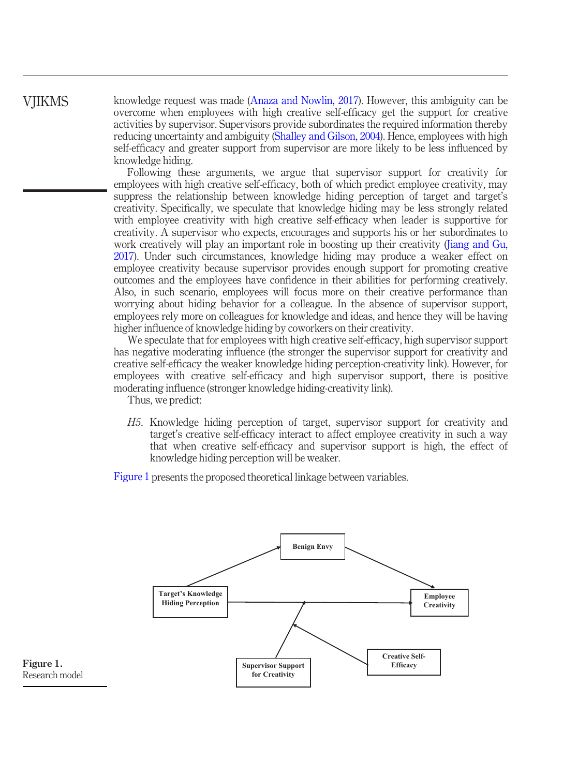knowledge request was made [\(Anaza and Nowlin, 2017](#page-14-12)). However, this ambiguity can be overcome when employees with high creative self-efficacy get the support for creative activities by supervisor. Supervisors provide subordinates the required information thereby reducing uncertainty and ambiguity ([Shalley and Gilson, 2004](#page-16-11)). Hence, employees with high self-efficacy and greater support from supervisor are more likely to be less influenced by knowledge hiding.

Following these arguments, we argue that supervisor support for creativity for employees with high creative self-efficacy, both of which predict employee creativity, may suppress the relationship between knowledge hiding perception of target and target's creativity. Specifically, we speculate that knowledge hiding may be less strongly related with employee creativity with high creative self-efficacy when leader is supportive for creativity. A supervisor who expects, encourages and supports his or her subordinates to work creatively will play an important role in boosting up their creativity ([Jiang and Gu,](#page-15-16) [2017](#page-15-16)). Under such circumstances, knowledge hiding may produce a weaker effect on employee creativity because supervisor provides enough support for promoting creative outcomes and the employees have confidence in their abilities for performing creatively. Also, in such scenario, employees will focus more on their creative performance than worrying about hiding behavior for a colleague. In the absence of supervisor support, employees rely more on colleagues for knowledge and ideas, and hence they will be having higher influence of knowledge hiding by coworkers on their creativity.

We speculate that for employees with high creative self-efficacy, high supervisor support has negative moderating influence (the stronger the supervisor support for creativity and creative self-efficacy the weaker knowledge hiding perception-creativity link). However, for employees with creative self-efficacy and high supervisor support, there is positive moderating influence (stronger knowledge hiding-creativity link).

Thus, we predict:

H5. Knowledge hiding perception of target, supervisor support for creativity and target's creative self-efficacy interact to affect employee creativity in such a way that when creative self-efficacy and supervisor support is high, the effect of knowledge hiding perception will be weaker.

[Figure 1](#page-5-0) presents the proposed theoretical linkage between variables.



<span id="page-5-0"></span>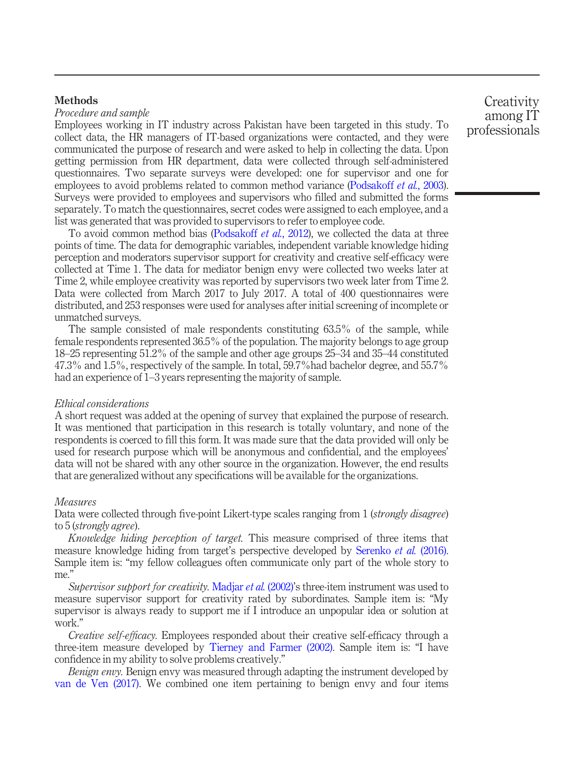#### **Methods**

#### Procedure and sample

Employees working in IT industry across Pakistan have been targeted in this study. To collect data, the HR managers of IT-based organizations were contacted, and they were communicated the purpose of research and were asked to help in collecting the data. Upon getting permission from HR department, data were collected through self-administered questionnaires. Two separate surveys were developed: one for supervisor and one for employees to avoid problems related to common method variance ([Podsakoff](#page-16-12) et al., 2003). Surveys were provided to employees and supervisors who filled and submitted the forms separately. To match the questionnaires, secret codes were assigned to each employee, and a list was generated that was provided to supervisors to refer to employee code.

To avoid common method bias [\(Podsakoff](#page-16-13) et al., 2012), we collected the data at three points of time. The data for demographic variables, independent variable knowledge hiding perception and moderators supervisor support for creativity and creative self-efficacy were collected at Time 1. The data for mediator benign envy were collected two weeks later at Time 2, while employee creativity was reported by supervisors two week later from Time 2. Data were collected from March 2017 to July 2017. A total of 400 questionnaires were distributed, and 253 responses were used for analyses after initial screening of incomplete or unmatched surveys.

The sample consisted of male respondents constituting 63.5% of the sample, while female respondents represented 36.5% of the population. The majority belongs to age group 18–25 representing 51.2% of the sample and other age groups 25–34 and 35–44 constituted 47.3% and 1.5%, respectively of the sample. In total, 59.7%had bachelor degree, and 55.7% had an experience of 1–3 years representing the majority of sample.

#### Ethical considerations

A short request was added at the opening of survey that explained the purpose of research. It was mentioned that participation in this research is totally voluntary, and none of the respondents is coerced to fill this form. It was made sure that the data provided will only be used for research purpose which will be anonymous and confidential, and the employees' data will not be shared with any other source in the organization. However, the end results that are generalized without any specifications will be available for the organizations.

#### Measures

Data were collected through five-point Likert-type scales ranging from 1 (*strongly disagree*) to 5 (strongly agree).

Knowledge hiding perception of target. This measure comprised of three items that measure knowledge hiding from target's perspective developed by [Serenko](#page-16-14) et al. (2016). Sample item is: "my fellow colleagues often communicate only part of the whole story to me."

Supervisor support for creativity. [Madjar](#page-16-15) et al. (2002)'s three-item instrument was used to measure supervisor support for creativity rated by subordinates. Sample item is: "My supervisor is always ready to support me if I introduce an unpopular idea or solution at work."

Creative self-efficacy. Employees responded about their creative self-efficacy through a three-item measure developed by [Tierney and Farmer \(2002\)](#page-17-13). Sample item is: "I have confidence in my ability to solve problems creatively."

Benign envy. Benign envy was measured through adapting the instrument developed by [van de Ven \(2017\).](#page-17-4) We combined one item pertaining to benign envy and four items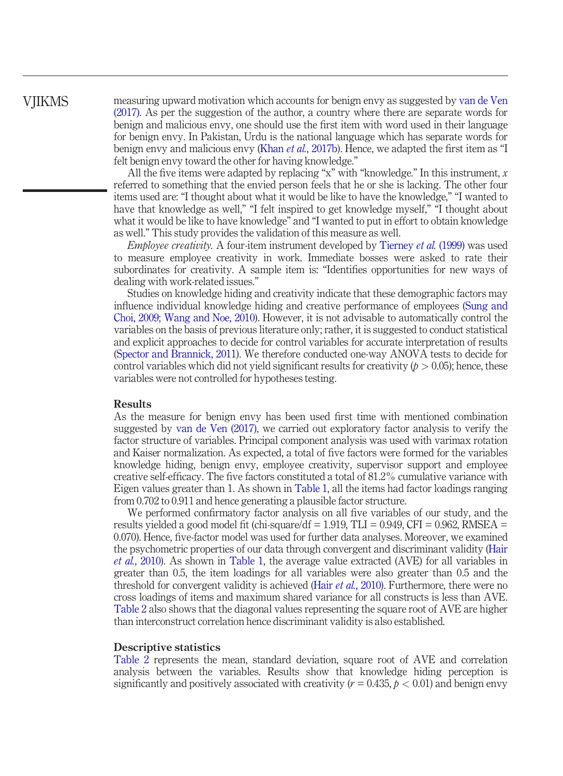measuring upward motivation which accounts for benign envy as suggested by [van de Ven](#page-17-4) [\(2017\)](#page-17-4). As per the suggestion of the author, a country where there are separate words for benign and malicious envy, one should use the first item with word used in their language for benign envy. In Pakistan, Urdu is the national language which has separate words for benign envy and malicious envy (Khan et al.[, 2017b\)](#page-15-11). Hence, we adapted the first item as "I felt benign envy toward the other for having knowledge."

All the five items were adapted by replacing "x" with "knowledge." In this instrument,  $x$ referred to something that the envied person feels that he or she is lacking. The other four items used are: "I thought about what it would be like to have the knowledge," "I wanted to have that knowledge as well," "I felt inspired to get knowledge myself," "I thought about what it would be like to have knowledge" and "I wanted to put in effort to obtain knowledge as well." This study provides the validation of this measure as well.

Employee creativity. A four-item instrument developed by [Tierney](#page-17-14) et al. (1999) was used to measure employee creativity in work. Immediate bosses were asked to rate their subordinates for creativity. A sample item is: "Identifies opportunities for new ways of dealing with work-related issues."

Studies on knowledge hiding and creativity indicate that these demographic factors may influence individual knowledge hiding and creative performance of employees ([Sung and](#page-17-15) [Choi, 2009](#page-17-15); [Wang and Noe, 2010](#page-17-16)). However, it is not advisable to automatically control the variables on the basis of previous literature only; rather, it is suggested to conduct statistical and explicit approaches to decide for control variables for accurate interpretation of results [\(Spector and Brannick, 2011](#page-17-17)). We therefore conducted one-way ANOVA tests to decide for control variables which did not yield significant results for creativity  $(p > 0.05)$ ; hence, these variables were not controlled for hypotheses testing.

#### **Results**

As the measure for benign envy has been used first time with mentioned combination suggested by [van de Ven \(2017\)](#page-17-4), we carried out exploratory factor analysis to verify the factor structure of variables. Principal component analysis was used with varimax rotation and Kaiser normalization. As expected, a total of five factors were formed for the variables knowledge hiding, benign envy, employee creativity, supervisor support and employee creative self-efficacy. The five factors constituted a total of 81.2% cumulative variance with Eigen values greater than 1. As shown in [Table 1,](#page-8-0) all the items had factor loadings ranging from 0.702 to 0.911 and hence generating a plausible factor structure.

We performed confirmatory factor analysis on all five variables of our study, and the results yielded a good model fit (chi-square/df  $= 1.919$ , TLI  $= 0.949$ , CFI  $= 0.962$ , RMSEA  $=$ 0.070). Hence, five-factor model was used for further data analyses. Moreover, we examined the psychometric properties of our data through convergent and discriminant validity [\(Hair](#page-15-17) et al.[, 2010\)](#page-15-17). As shown in [Table 1,](#page-8-0) the average value extracted (AVE) for all variables in greater than 0.5, the item loadings for all variables were also greater than 0.5 and the threshold for convergent validity is achieved (Hair *et al.*[, 2010\)](#page-15-17). Furthermore, there were no cross loadings of items and maximum shared variance for all constructs is less than AVE. [Table 2](#page-8-1) also shows that the diagonal values representing the square root of AVE are higher than interconstruct correlation hence discriminant validity is also established.

#### Descriptive statistics

[Table 2](#page-8-1) represents the mean, standard deviation, square root of AVE and correlation analysis between the variables. Results show that knowledge hiding perception is significantly and positively associated with creativity ( $r = 0.435$ ,  $p < 0.01$ ) and benign envy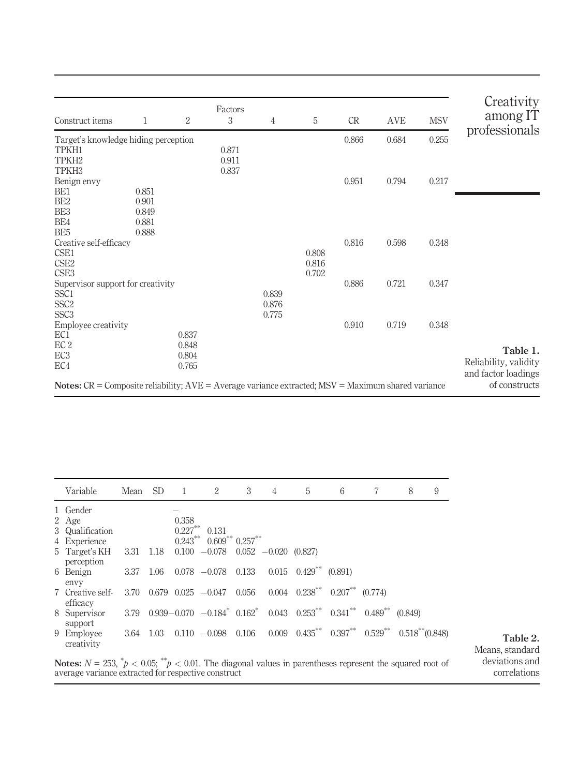| Construct items                                                                                                 | 1     | $\overline{2}$ | Factors<br>3 | 4     | 5              | CR    | AVE   | <b>MSV</b> | Creativity<br>among IT               |
|-----------------------------------------------------------------------------------------------------------------|-------|----------------|--------------|-------|----------------|-------|-------|------------|--------------------------------------|
| Target's knowledge hiding perception                                                                            |       |                |              |       |                | 0.866 | 0.684 | 0.255      | professionals                        |
| TPKH1                                                                                                           |       |                | 0.871        |       |                |       |       |            |                                      |
| TPKH <sub>2</sub>                                                                                               |       |                | 0.911        |       |                |       |       |            |                                      |
| TPKH <sub>3</sub>                                                                                               |       |                | 0.837        |       |                |       |       |            |                                      |
| Benign envy                                                                                                     |       |                |              |       |                | 0.951 | 0.794 | 0.217      |                                      |
| BE1                                                                                                             | 0.851 |                |              |       |                |       |       |            |                                      |
| BE <sub>2</sub>                                                                                                 | 0.901 |                |              |       |                |       |       |            |                                      |
| BE <sub>3</sub>                                                                                                 | 0.849 |                |              |       |                |       |       |            |                                      |
| BE4                                                                                                             | 0.881 |                |              |       |                |       |       |            |                                      |
| BE <sub>5</sub>                                                                                                 | 0.888 |                |              |       |                |       |       |            |                                      |
| Creative self-efficacy                                                                                          |       |                |              |       |                | 0.816 | 0.598 | 0.348      |                                      |
| CSE1<br>CSE <sub>2</sub>                                                                                        |       |                |              |       | 0.808<br>0.816 |       |       |            |                                      |
| CSE <sub>3</sub>                                                                                                |       |                |              |       | 0.702          |       |       |            |                                      |
| Supervisor support for creativity                                                                               |       |                |              |       |                | 0.886 | 0.721 | 0.347      |                                      |
| SSC <sub>1</sub>                                                                                                |       |                |              | 0.839 |                |       |       |            |                                      |
| SSC <sub>2</sub>                                                                                                |       |                |              | 0.876 |                |       |       |            |                                      |
| SSC <sub>3</sub>                                                                                                |       |                |              | 0.775 |                |       |       |            |                                      |
| Employee creativity                                                                                             |       |                |              |       |                | 0.910 | 0.719 | 0.348      |                                      |
| EC <sub>1</sub>                                                                                                 |       | 0.837          |              |       |                |       |       |            |                                      |
| EC <sub>2</sub>                                                                                                 |       | 0.848          |              |       |                |       |       |            |                                      |
| EC <sub>3</sub>                                                                                                 |       | 0.804          |              |       |                |       |       |            | Table 1.                             |
| EC4                                                                                                             |       | 0.765          |              |       |                |       |       |            | Reliability, validity                |
| <b>Notes:</b> $CR =$ Composite reliability; $AVE =$ Average variance extracted; $MSV =$ Maximum shared variance |       |                |              |       |                |       |       |            | and factor loadings<br>of constructs |

<span id="page-8-1"></span><span id="page-8-0"></span>

| Variable                                                                                                                                                                       | Mean      | SD.  | - 1                               | 2                                                                                                                                    | 3 | 4 | 5                                                                     | 6 | 7 | 8       | 9 |                                |
|--------------------------------------------------------------------------------------------------------------------------------------------------------------------------------|-----------|------|-----------------------------------|--------------------------------------------------------------------------------------------------------------------------------------|---|---|-----------------------------------------------------------------------|---|---|---------|---|--------------------------------|
| 1 Gender<br>2 Age<br>3 Qualification<br>4 Experience                                                                                                                           |           |      | 0.358<br>$0.227***$<br>$0.243***$ | 0.131<br>$0.609**0.257**$                                                                                                            |   |   |                                                                       |   |   |         |   |                                |
| 5 Target's KH<br>perception                                                                                                                                                    | 3.31 1.18 |      |                                   | $0.100 -0.078$ $0.052 -0.020$ $(0.827)$                                                                                              |   |   |                                                                       |   |   |         |   |                                |
| 6 Benign<br>envy                                                                                                                                                               | 3.37 1.06 |      |                                   | $0.078$ $-0.078$ $0.133$ $0.015$ $0.429^{**}$ $(0.891)$                                                                              |   |   |                                                                       |   |   |         |   |                                |
| 7 Creative self-<br>efficacy                                                                                                                                                   | 3.70      |      |                                   | $0.679$ $0.025$ $-0.047$ $0.056$                                                                                                     |   |   | $0.004$ $0.238^{**}$ $0.207^{**}$ $(0.774)$                           |   |   |         |   |                                |
| 8 Supervisor<br>support                                                                                                                                                        | 3.79      |      |                                   | $0.939 - 0.070$ $-0.184$ <sup>*</sup> $0.162$ <sup>*</sup> $0.043$ $0.253$ <sup>**</sup> $0.341$ <sup>**</sup> $0.489$ <sup>**</sup> |   |   |                                                                       |   |   | (0.849) |   |                                |
| 9 Employee<br>creativity                                                                                                                                                       | 3.64      | 1.03 |                                   | $0.110 - 0.098 0.106$                                                                                                                |   |   | $0.009$ $0.435^{**}$ $0.397^{**}$ $0.529^{**}$ $0.518^{**}$ $(0.848)$ |   |   |         |   | Table 2.<br>Means, standard    |
| <b>Notes:</b> $N = 253$ , $p' < 0.05$ ; $p'' > 0.01$ . The diagonal values in parentheses represent the squared root of<br>average variance extracted for respective construct |           |      |                                   |                                                                                                                                      |   |   |                                                                       |   |   |         |   | deviations and<br>correlations |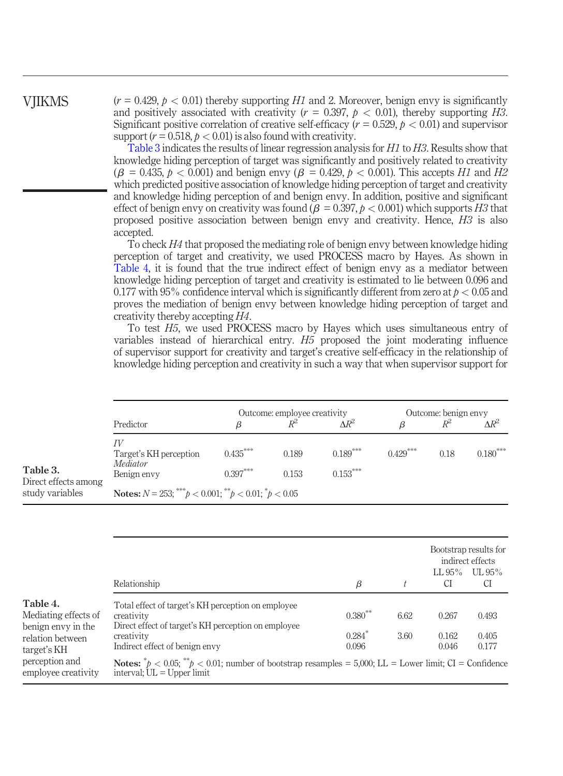$(r = 0.429, p < 0.01)$  thereby supporting H1 and 2. Moreover, benign envy is significantly and positively associated with creativity ( $r = 0.397$ ,  $p < 0.01$ ), thereby supporting H3. Significant positive correlation of creative self-efficacy ( $r = 0.529$ ,  $p < 0.01$ ) and supervisor support ( $r = 0.518$ ,  $p < 0.01$ ) is also found with creativity.

[Table 3](#page-9-0) indicates the results of linear regression analysis for H1 to H3. Results show that knowledge hiding perception of target was significantly and positively related to creativity  $(\beta = 0.435, p < 0.001)$  and benign envy  $(\beta = 0.429, p < 0.001)$ . This accepts *H1* and *H2* which predicted positive association of knowledge hiding perception of target and creativity and knowledge hiding perception of and benign envy. In addition, positive and significant effect of benign envy on creativity was found ( $\beta = 0.397$ ,  $p < 0.001$ ) which supports H3 that proposed positive association between benign envy and creativity. Hence, H3 is also accepted.

To check H4 that proposed the mediating role of benign envy between knowledge hiding perception of target and creativity, we used PROCESS macro by Hayes. As shown in [Table 4](#page-9-1), it is found that the true indirect effect of benign envy as a mediator between knowledge hiding perception of target and creativity is estimated to lie between 0.096 and 0.177 with 95% confidence interval which is significantly different from zero at  $p < 0.05$  and proves the mediation of benign envy between knowledge hiding perception of target and creativity thereby accepting H4.

To test H5, we used PROCESS macro by Hayes which uses simultaneous entry of variables instead of hierarchical entry. H5 proposed the joint moderating influence of supervisor support for creativity and target's creative self-efficacy in the relationship of knowledge hiding perception and creativity in such a way that when supervisor support for

<span id="page-9-0"></span>

|                                                     | Predictor                                                                               |            | Outcome: employee creativity<br>$R^2$ | Outcome: benign envy<br>$\Delta\!R^2$<br>$D^2$<br>ß |            |      |            |
|-----------------------------------------------------|-----------------------------------------------------------------------------------------|------------|---------------------------------------|-----------------------------------------------------|------------|------|------------|
| Table 3.<br>Direct effects among<br>study variables | ΓV<br>Target's KH perception<br>Mediator                                                | $0.435***$ | 0.189                                 | $0.189***$                                          | $0.429***$ | 0.18 | $0.180***$ |
|                                                     | Benign envy<br><b>Notes:</b> $N = 253$ ; *** $p < 0.001$ ; ** $p < 0.01$ ; * $p < 0.05$ | $0.153***$ |                                       |                                                     |            |      |            |

<span id="page-9-1"></span>

|                                                                                           |                                                                                                                                                                         |                                            |              | Bootstrap results for<br>indirect effects |                         |
|-------------------------------------------------------------------------------------------|-------------------------------------------------------------------------------------------------------------------------------------------------------------------------|--------------------------------------------|--------------|-------------------------------------------|-------------------------|
|                                                                                           | Relationship                                                                                                                                                            | β                                          |              | $LL 95\%$<br>СI                           | $\text{UL}95\%$<br>CI   |
| Table 4.<br>Mediating effects of<br>benign envy in the<br>relation between<br>target's KH | Total effect of target's KH perception on employee<br>creativity<br>Direct effect of target's KH perception on employee<br>creativity<br>Indirect effect of benign envy | $0.380**$<br>$0.284$ <sup>*</sup><br>0.096 | 6.62<br>3.60 | 0.267<br>0.162<br>0.046                   | 0.493<br>0.405<br>0.177 |
| perception and<br>employee creativity                                                     | <b>Notes:</b> $^*p < 0.05$ ; $^{**}p < 0.01$ ; number of bootstrap resamples = 5,000; LL = Lower limit; CI = Confidence<br>interval; $UL = Upper$ limit                 |                                            |              |                                           |                         |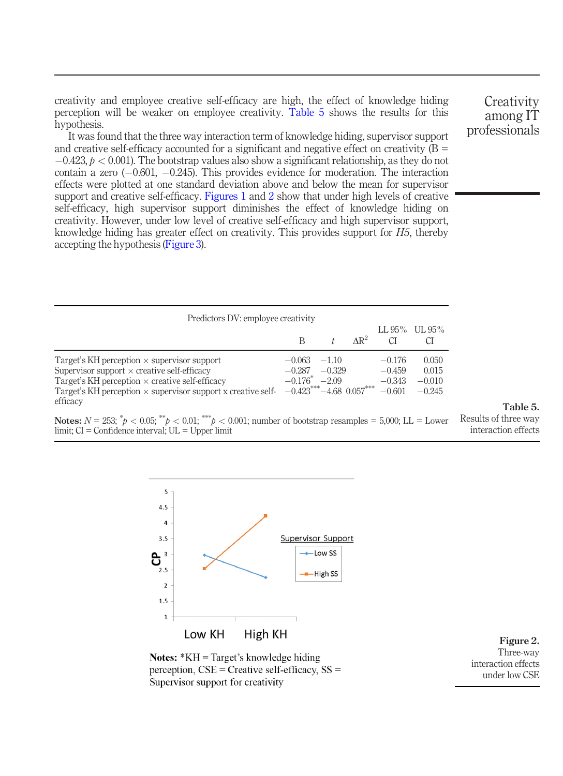creativity and employee creative self-efficacy are high, the effect of knowledge hiding perception will be weaker on employee creativity. [Table 5](#page-10-0) shows the results for this hypothesis.

It was found that the three way interaction term of knowledge hiding, supervisor support and creative self-efficacy accounted for a significant and negative effect on creativity  $(B =$  $-0.423$ ,  $p < 0.001$ ). The bootstrap values also show a significant relationship, as they do not contain a zero  $(-0.601, -0.245)$ . This provides evidence for moderation. The interaction effects were plotted at one standard deviation above and below the mean for supervisor support and creative self-efficacy. [Figures 1](#page-5-0) and [2](#page-10-1) show that under high levels of creative self-efficacy, high supervisor support diminishes the effect of knowledge hiding on creativity. However, under low level of creative self-efficacy and high supervisor support, knowledge hiding has greater effect on creativity. This provides support for  $H_2$ , thereby accepting the hypothesis [\(Figure 3](#page-11-0)).

| Predictors DV: employee creativity                                                                                                                                                                                                                    |                                                                           |                    |              |                                              |                                        |
|-------------------------------------------------------------------------------------------------------------------------------------------------------------------------------------------------------------------------------------------------------|---------------------------------------------------------------------------|--------------------|--------------|----------------------------------------------|----------------------------------------|
|                                                                                                                                                                                                                                                       | B                                                                         |                    | $\Delta R^2$ | СI                                           | LL $95\%$ UL $95\%$<br>СI              |
| Target's KH perception $\times$ supervisor support<br>Supervisor support $\times$ creative self-efficacy<br>Target's KH perception $\times$ creative self-efficacy<br>Target's KH perception $\times$ supervisor support x creative self-<br>efficacy | $-0.063$<br>$-0.287$<br>$-0.176^*$ $-2.09$<br>$-0.423***-4.68$ $0.057***$ | $-110$<br>$-0.329$ |              | $-0.176$<br>$-0.459$<br>$-0.343$<br>$-0.601$ | 0.050<br>0.015<br>$-0.010$<br>$-0.245$ |
| <b>Notes:</b> $N = 253$ ; $^*p < 0.05$ ; $^{**}p < 0.01$ ; $^{***}p < 0.001$ ; number of bootstrap resamples = 5,000; LL = Lower<br>$limit; CI = Confidence interval; UL = Upper limit$                                                               |                                                                           |                    |              |                                              |                                        |



**Notes: \*KH** = Target's knowledge hiding perception,  $CSE =$  Creative self-efficacy,  $SS =$ Supervisor support for creativity

<span id="page-10-1"></span>

**Creativity** among IT professionals

Table 5.

<span id="page-10-0"></span>Results of three way interaction effects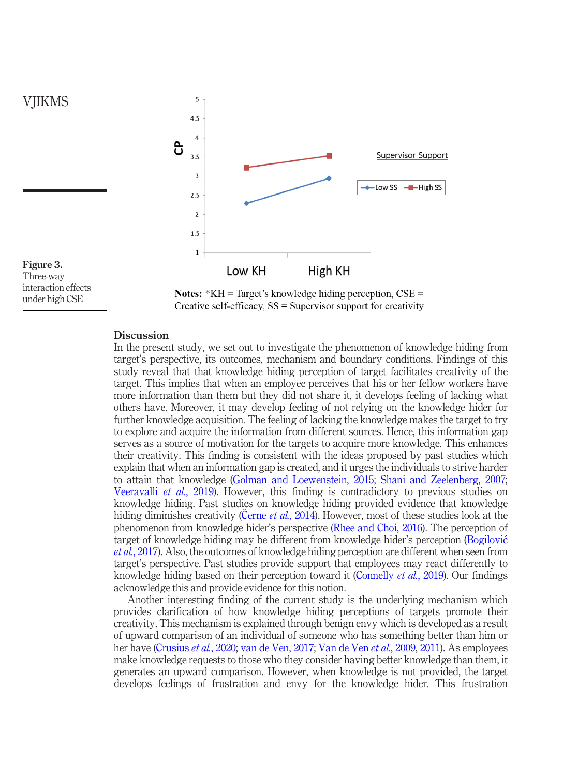

#### <span id="page-11-0"></span>**Discussion**

In the present study, we set out to investigate the phenomenon of knowledge hiding from target's perspective, its outcomes, mechanism and boundary conditions. Findings of this study reveal that that knowledge hiding perception of target facilitates creativity of the target. This implies that when an employee perceives that his or her fellow workers have more information than them but they did not share it, it develops feeling of lacking what others have. Moreover, it may develop feeling of not relying on the knowledge hider for further knowledge acquisition. The feeling of lacking the knowledge makes the target to try to explore and acquire the information from different sources. Hence, this information gap serves as a source of motivation for the targets to acquire more knowledge. This enhances their creativity. This finding is consistent with the ideas proposed by past studies which explain that when an information gap is created, and it urges the individuals to strive harder to attain that knowledge [\(Golman and Loewenstein, 2015;](#page-15-18) [Shani and Zeelenberg, 2007;](#page-17-6) [Veeravalli](#page-17-7) et al., 2019). However, this finding is contradictory to previous studies on knowledge hiding. Past studies on knowledge hiding provided evidence that knowledge hiding diminishes creativity (Cerne et al.[, 2014](#page-14-5)). However, most of these studies look at the phenomenon from knowledge hider's perspective [\(Rhee and Choi, 2016](#page-16-0)). The perception of target of knowledge hiding may be different from knowledge hider's perception [\(Bogilovi](#page-14-4)c et al.[, 2017](#page-14-4)). Also, the outcomes of knowledge hiding perception are different when seen from target's perspective. Past studies provide support that employees may react differently to knowledge hiding based on their perception toward it [\(Connelly](#page-15-1) et al., 2019). Our findings acknowledge this and provide evidence for this notion.

Another interesting finding of the current study is the underlying mechanism which provides clarification of how knowledge hiding perceptions of targets promote their creativity. This mechanism is explained through benign envy which is developed as a result of upward comparison of an individual of someone who has something better than him or her have ([Crusius](#page-15-8) et al., 2020; [van de Ven, 2017](#page-17-4); [Van de Ven](#page-17-2) et al., 2009, [2011\)](#page-17-3). As employees make knowledge requests to those who they consider having better knowledge than them, it generates an upward comparison. However, when knowledge is not provided, the target develops feelings of frustration and envy for the knowledge hider. This frustration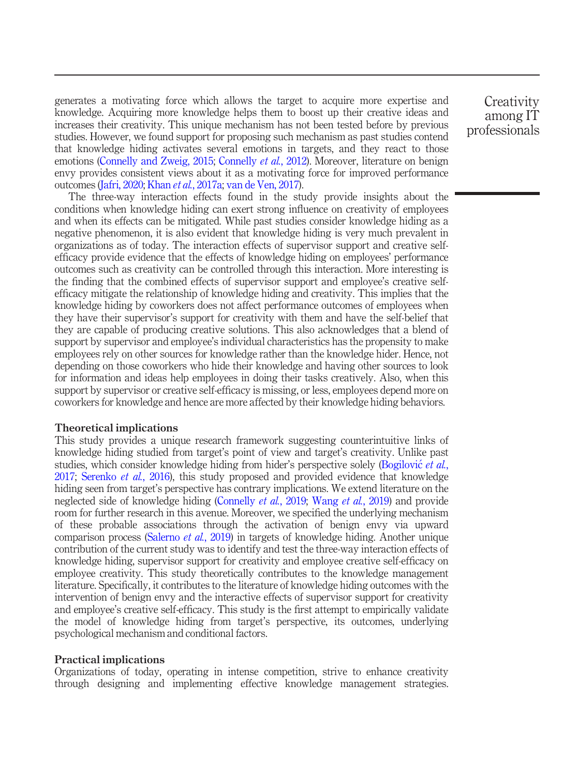generates a motivating force which allows the target to acquire more expertise and knowledge. Acquiring more knowledge helps them to boost up their creative ideas and increases their creativity. This unique mechanism has not been tested before by previous studies. However, we found support for proposing such mechanism as past studies contend that knowledge hiding activates several emotions in targets, and they react to those emotions ([Connelly and Zweig, 2015](#page-14-2); [Connelly](#page-15-2) *et al.*, 2012). Moreover, literature on benign envy provides consistent views about it as a motivating force for improved performance outcomes [\(Jafri, 2020;](#page-15-19) Khan et al.[, 2017a;](#page-15-5) [van de Ven, 2017\)](#page-17-4).

The three-way interaction effects found in the study provide insights about the conditions when knowledge hiding can exert strong influence on creativity of employees and when its effects can be mitigated. While past studies consider knowledge hiding as a negative phenomenon, it is also evident that knowledge hiding is very much prevalent in organizations as of today. The interaction effects of supervisor support and creative selfefficacy provide evidence that the effects of knowledge hiding on employees' performance outcomes such as creativity can be controlled through this interaction. More interesting is the finding that the combined effects of supervisor support and employee's creative selfefficacy mitigate the relationship of knowledge hiding and creativity. This implies that the knowledge hiding by coworkers does not affect performance outcomes of employees when they have their supervisor's support for creativity with them and have the self-belief that they are capable of producing creative solutions. This also acknowledges that a blend of support by supervisor and employee's individual characteristics has the propensity to make employees rely on other sources for knowledge rather than the knowledge hider. Hence, not depending on those coworkers who hide their knowledge and having other sources to look for information and ideas help employees in doing their tasks creatively. Also, when this support by supervisor or creative self-efficacy is missing, or less, employees depend more on coworkers for knowledge and hence are more affected by their knowledge hiding behaviors.

#### Theoretical implications

This study provides a unique research framework suggesting counterintuitive links of knowledge hiding studied from target's point of view and target's creativity. Unlike past studies, which consider knowledge hiding from hider's perspective solely [\(Bogilovi](#page-14-4)c et al., [2017;](#page-14-4) [Serenko](#page-16-14) et al., 2016), this study proposed and provided evidence that knowledge hiding seen from target's perspective has contrary implications. We extend literature on the neglected side of knowledge hiding [\(Connelly](#page-15-1) *et al.*, 2019; [Wang](#page-17-1) *et al.*, 2019) and provide room for further research in this avenue. Moreover, we specified the underlying mechanism of these probable associations through the activation of benign envy via upward comparison process [\(Salerno](#page-16-6) et al., 2019) in targets of knowledge hiding. Another unique contribution of the current study was to identify and test the three-way interaction effects of knowledge hiding, supervisor support for creativity and employee creative self-efficacy on employee creativity. This study theoretically contributes to the knowledge management literature. Specifically, it contributes to the literature of knowledge hiding outcomes with the intervention of benign envy and the interactive effects of supervisor support for creativity and employee's creative self-efficacy. This study is the first attempt to empirically validate the model of knowledge hiding from target's perspective, its outcomes, underlying psychological mechanism and conditional factors.

#### Practical implications

Organizations of today, operating in intense competition, strive to enhance creativity through designing and implementing effective knowledge management strategies.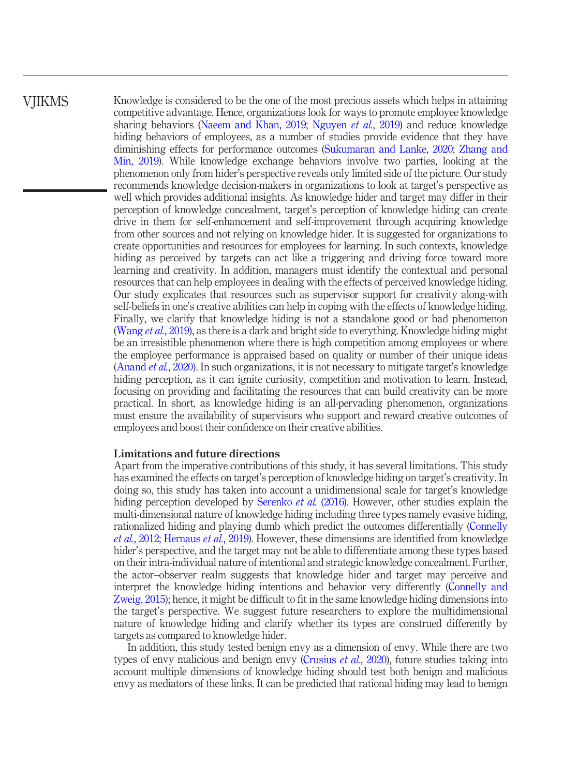Knowledge is considered to be the one of the most precious assets which helps in attaining competitive advantage. Hence, organizations look for ways to promote employee knowledge sharing behaviors [\(Naeem and Khan, 2019](#page-16-16); [Nguyen](#page-16-17) et al., 2019) and reduce knowledge hiding behaviors of employees, as a number of studies provide evidence that they have diminishing effects for performance outcomes [\(Sukumaran and Lanke, 2020;](#page-17-18) [Zhang and](#page-18-6) [Min, 2019](#page-18-6)). While knowledge exchange behaviors involve two parties, looking at the phenomenon only from hider's perspective reveals only limited side of the picture. Our study recommends knowledge decision-makers in organizations to look at target's perspective as well which provides additional insights. As knowledge hider and target may differ in their perception of knowledge concealment, target's perception of knowledge hiding can create drive in them for self-enhancement and self-improvement through acquiring knowledge from other sources and not relying on knowledge hider. It is suggested for organizations to create opportunities and resources for employees for learning. In such contexts, knowledge hiding as perceived by targets can act like a triggering and driving force toward more learning and creativity. In addition, managers must identify the contextual and personal resources that can help employees in dealing with the effects of perceived knowledge hiding. Our study explicates that resources such as supervisor support for creativity along-with self-beliefs in one's creative abilities can help in coping with the effects of knowledge hiding. Finally, we clarify that knowledge hiding is not a standalone good or bad phenomenon [\(Wang](#page-17-1) *et al.*, 2019), as there is a dark and bright side to everything. Knowledge hiding might be an irresistible phenomenon where there is high competition among employees or where the employee performance is appraised based on quality or number of their unique ideas [\(Anand](#page-14-13) et al., 2020). In such organizations, it is not necessary to mitigate target's knowledge hiding perception, as it can ignite curiosity, competition and motivation to learn. Instead, focusing on providing and facilitating the resources that can build creativity can be more practical. In short, as knowledge hiding is an all-pervading phenomenon, organizations must ensure the availability of supervisors who support and reward creative outcomes of employees and boost their confidence on their creative abilities.

#### Limitations and future directions

Apart from the imperative contributions of this study, it has several limitations. This study has examined the effects on target's perception of knowledge hiding on target's creativity. In doing so, this study has taken into account a unidimensional scale for target's knowledge hiding perception developed by [Serenko](#page-16-14) *et al.* (2016). However, other studies explain the multi-dimensional nature of knowledge hiding including three types namely evasive hiding, rationalized hiding and playing dumb which predict the outcomes differentially ([Connelly](#page-15-2) et al.[, 2012](#page-15-2); [Hernaus](#page-15-20) et al., 2019). However, these dimensions are identified from knowledge hider's perspective, and the target may not be able to differentiate among these types based on their intra-individual nature of intentional and strategic knowledge concealment. Further, the actor–observer realm suggests that knowledge hider and target may perceive and interpret the knowledge hiding intentions and behavior very differently [\(Connelly and](#page-14-2) [Zweig, 2015\)](#page-14-2); hence, it might be difficult to fit in the same knowledge hiding dimensions into the target's perspective. We suggest future researchers to explore the multidimensional nature of knowledge hiding and clarify whether its types are construed differently by targets as compared to knowledge hider.

In addition, this study tested benign envy as a dimension of envy. While there are two types of envy malicious and benign envy ([Crusius](#page-15-8) *et al.*, 2020), future studies taking into account multiple dimensions of knowledge hiding should test both benign and malicious envy as mediators of these links. It can be predicted that rational hiding may lead to benign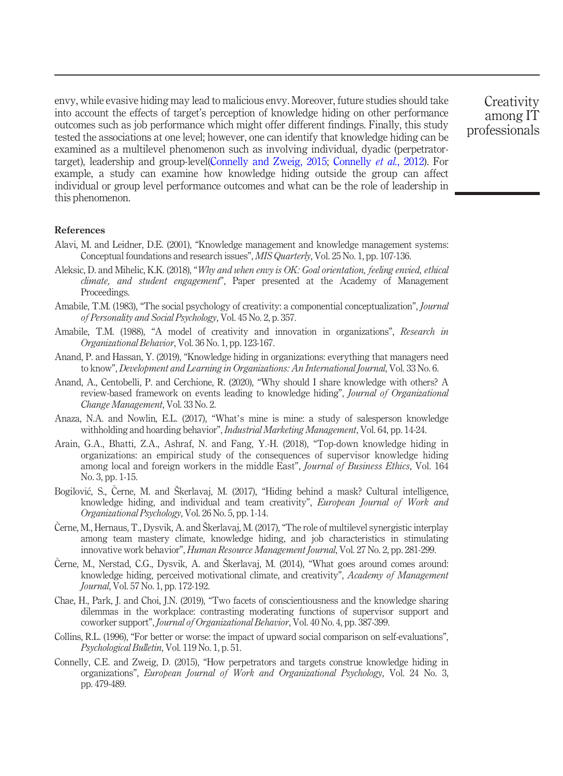envy, while evasive hiding may lead to malicious envy. Moreover, future studies should take into account the effects of target's perception of knowledge hiding on other performance outcomes such as job performance which might offer different findings. Finally, this study tested the associations at one level; however, one can identify that knowledge hiding can be examined as a multilevel phenomenon such as involving individual, dyadic (perpetratortarget), leadership and group-level[\(Connelly and Zweig, 2015;](#page-14-2) [Connelly](#page-15-2) et al., 2012). For example, a study can examine how knowledge hiding outside the group can affect individual or group level performance outcomes and what can be the role of leadership in this phenomenon.

**Creativity** among IT professionals

#### References

- <span id="page-14-8"></span>Alavi, M. and Leidner, D.E. (2001), "Knowledge management and knowledge management systems: Conceptual foundations and research issues", MIS Quarterly, Vol. 25 No. 1, pp. 107-136.
- <span id="page-14-9"></span>Aleksic, D. and Mihelic, K.K. (2018), "Why and when envy is OK: Goal orientation, feeling envied, ethical climate, and student engagement", Paper presented at the Academy of Management Proceedings.
- <span id="page-14-7"></span>Amabile, T.M. (1983), "The social psychology of creativity: a componential conceptualization", *Journal* of Personality and Social Psychology, Vol. 45 No. 2, p. 357.
- <span id="page-14-0"></span>Amabile, T.M. (1988), "A model of creativity and innovation in organizations", Research in Organizational Behavior, Vol. 36 No. 1, pp. 123-167.
- <span id="page-14-3"></span>Anand, P. and Hassan, Y. (2019), "Knowledge hiding in organizations: everything that managers need to know", Development and Learning in Organizations: An International Journal, Vol. 33 No. 6.
- <span id="page-14-13"></span>Anand, A., Centobelli, P. and Cerchione, R. (2020), "Why should I share knowledge with others? A review-based framework on events leading to knowledge hiding", Journal of Organizational Change Management, Vol. 33 No. 2.
- <span id="page-14-12"></span>Anaza, N.A. and Nowlin, E.L. (2017), "What's mine is mine: a study of salesperson knowledge withholding and hoarding behavior", Industrial Marketing Management, Vol. 64, pp. 14-24.
- <span id="page-14-10"></span>Arain, G.A., Bhatti, Z.A., Ashraf, N. and Fang, Y.-H. (2018), "Top-down knowledge hiding in organizations: an empirical study of the consequences of supervisor knowledge hiding among local and foreign workers in the middle East", Journal of Business Ethics, Vol. 164 No. 3, pp. 1-15.
- <span id="page-14-4"></span>Bogilovic, S., Cerne, M. and Škerlavaj, M. (2017), "Hiding behind a mask? Cultural intelligence, knowledge hiding, and individual and team creativity", European Journal of Work and Organizational Psychology, Vol. 26 No. 5, pp. 1-14.
- <span id="page-14-1"></span> Cerne, M., Hernaus, T., Dysvik, A. and Škerlavaj, M. (2017), "The role of multilevel synergistic interplay among team mastery climate, knowledge hiding, and job characteristics in stimulating innovative work behavior", Human Resource Management Journal, Vol. 27 No. 2, pp. 281-299.
- <span id="page-14-5"></span> Cerne, M., Nerstad, C.G., Dysvik, A. and Škerlavaj, M. (2014), "What goes around comes around: knowledge hiding, perceived motivational climate, and creativity", Academy of Management Journal, Vol. 57 No. 1, pp. 172-192.
- <span id="page-14-11"></span>Chae, H., Park, J. and Choi, J.N. (2019), "Two facets of conscientiousness and the knowledge sharing dilemmas in the workplace: contrasting moderating functions of supervisor support and coworker support", Journal of Organizational Behavior, Vol. 40 No. 4, pp. 387-399.
- <span id="page-14-6"></span>Collins, R.L. (1996), "For better or worse: the impact of upward social comparison on self-evaluations", Psychological Bulletin, Vol. 119 No. 1, p. 51.
- <span id="page-14-2"></span>Connelly, C.E. and Zweig, D. (2015), "How perpetrators and targets construe knowledge hiding in organizations", European Journal of Work and Organizational Psychology, Vol. 24 No. 3, pp. 479-489.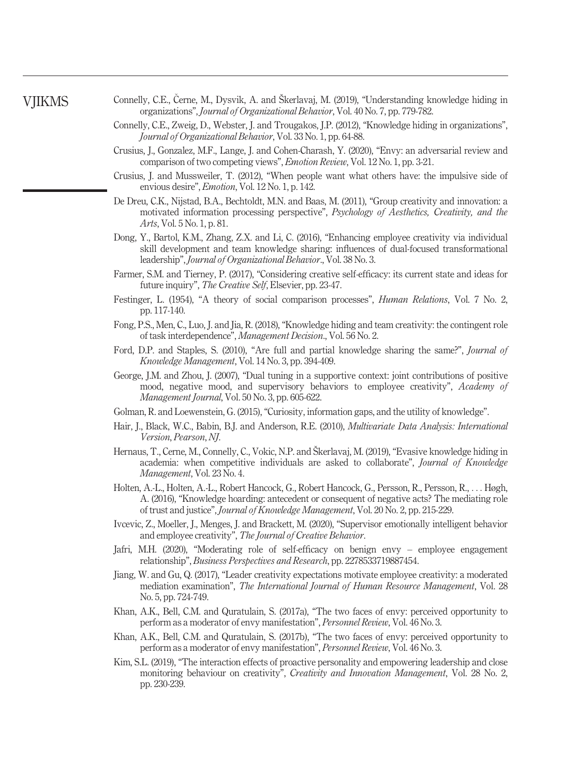- <span id="page-15-1"></span>Connelly, C.E., Cerne, M., Dysvik, A. and Škerlavaj, M. (2019), "Understanding knowledge hiding in organizations", Journal of Organizational Behavior, Vol. 40 No. 7, pp. 779-782.
- <span id="page-15-2"></span>Connelly, C.E., Zweig, D., Webster, J. and Trougakos, J.P. (2012), "Knowledge hiding in organizations", Journal of Organizational Behavior, Vol. 33 No. 1, pp. 64-88.
- <span id="page-15-8"></span>Crusius, J., Gonzalez, M.F., Lange, J. and Cohen-Charash, Y. (2020), "Envy: an adversarial review and comparison of two competing views", Emotion Review, Vol. 12 No. 1, pp. 3-21.
- <span id="page-15-9"></span>Crusius, J. and Mussweiler, T. (2012), "When people want what others have: the impulsive side of envious desire", Emotion, Vol. 12 No. 1, p. 142.
- <span id="page-15-10"></span>De Dreu, C.K., Nijstad, B.A., Bechtoldt, M.N. and Baas, M. (2011), "Group creativity and innovation: a motivated information processing perspective", Psychology of Aesthetics, Creativity, and the Arts, Vol. 5 No. 1, p. 81.
- <span id="page-15-0"></span>Dong, Y., Bartol, K.M., Zhang, Z.X. and Li, C. (2016), "Enhancing employee creativity via individual skill development and team knowledge sharing: influences of dual-focused transformational leadership", Journal of Organizational Behavior., Vol. 38 No. 3.
- <span id="page-15-15"></span>Farmer, S.M. and Tierney, P. (2017), "Considering creative self-efficacy: its current state and ideas for future inquiry", The Creative Self, Elsevier, pp. 23-47.
- <span id="page-15-6"></span>Festinger, L. (1954), "A theory of social comparison processes", *Human Relations*, Vol. 7 No. 2, pp. 117-140.
- <span id="page-15-3"></span>Fong, P.S., Men, C., Luo, J. and Jia, R. (2018), "Knowledge hiding and team creativity: the contingent role of task interdependence", Management Decision., Vol. 56 No. 2.
- <span id="page-15-7"></span>Ford, D.P. and Staples, S. (2010), "Are full and partial knowledge sharing the same?", Journal of Knowledge Management, Vol. 14 No. 3, pp. 394-409.
- <span id="page-15-13"></span>George, J.M. and Zhou, J. (2007), "Dual tuning in a supportive context: joint contributions of positive mood, negative mood, and supervisory behaviors to employee creativity", Academy of Management Journal, Vol. 50 No. 3, pp. 605-622.
- <span id="page-15-18"></span>Golman, R. and Loewenstein, G. (2015),"Curiosity, information gaps, and the utility of knowledge".
- <span id="page-15-17"></span>Hair, J., Black, W.C., Babin, B.J. and Anderson, R.E. (2010), Multivariate Data Analysis: International Version, Pearson, NJ.
- <span id="page-15-20"></span>Hernaus, T., Cerne, M., Connelly, C., Vokic, N.P. and Škerlavaj, M. (2019), "Evasive knowledge hiding in academia: when competitive individuals are asked to collaborate", *Journal of Knowledge* Management, Vol. 23 No. 4.
- <span id="page-15-4"></span>Holten, A.-L., Holten, A.-L., Robert Hancock, G., Robert Hancock, G., Persson, R., Persson, R., ... Høgh, A. (2016), "Knowledge hoarding: antecedent or consequent of negative acts? The mediating role of trust and justice", Journal of Knowledge Management, Vol. 20 No. 2, pp. 215-229.
- <span id="page-15-12"></span>Ivcevic, Z., Moeller, J., Menges, J. and Brackett, M. (2020), "Supervisor emotionally intelligent behavior and employee creativity", The Journal of Creative Behavior.
- <span id="page-15-19"></span>Jafri, M.H. (2020), "Moderating role of self-efficacy on benign envy – employee engagement relationship", Business Perspectives and Research, pp. 2278533719887454.
- <span id="page-15-16"></span>Jiang, W. and Gu, Q. (2017), "Leader creativity expectations motivate employee creativity: a moderated mediation examination", The International Journal of Human Resource Management, Vol. 28 No. 5, pp. 724-749.
- <span id="page-15-5"></span>Khan, A.K., Bell, C.M. and Quratulain, S. (2017a), "The two faces of envy: perceived opportunity to perform as a moderator of envy manifestation", Personnel Review, Vol. 46 No. 3.
- <span id="page-15-11"></span>Khan, A.K., Bell, C.M. and Quratulain, S. (2017b), "The two faces of envy: perceived opportunity to perform as a moderator of envy manifestation", Personnel Review, Vol. 46 No. 3.
- <span id="page-15-14"></span>Kim, S.L. (2019), "The interaction effects of proactive personality and empowering leadership and close monitoring behaviour on creativity", Creativity and Innovation Management, Vol. 28 No. 2, pp. 230-239.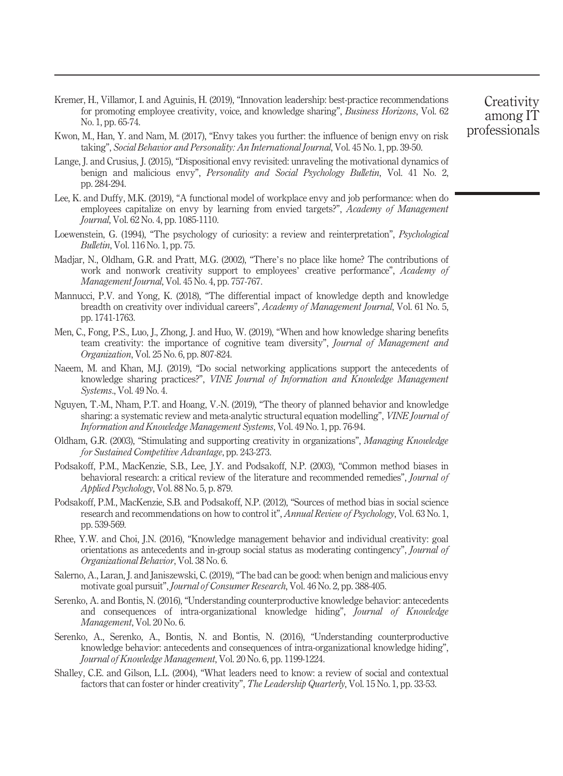- <span id="page-16-3"></span>Kremer, H., Villamor, I. and Aguinis, H. (2019), "Innovation leadership: best-practice recommendations for promoting employee creativity, voice, and knowledge sharing", Business Horizons, Vol. 62 No. 1, pp. 65-74.
- <span id="page-16-9"></span>Kwon, M., Han, Y. and Nam, M. (2017), "Envy takes you further: the influence of benign envy on risk taking", Social Behavior and Personality: An International Journal, Vol. 45 No. 1, pp. 39-50.
- <span id="page-16-7"></span>Lange, J. and Crusius, J. (2015), "Dispositional envy revisited: unraveling the motivational dynamics of benign and malicious envy", Personality and Social Psychology Bulletin, Vol. 41 No. 2, pp. 284-294.
- <span id="page-16-8"></span>Lee, K. and Duffy, M.K. (2019), "A functional model of workplace envy and job performance: when do employees capitalize on envy by learning from envied targets?", Academy of Management Journal, Vol. 62 No. 4, pp. 1085-1110.
- <span id="page-16-5"></span>Loewenstein, G. (1994), "The psychology of curiosity: a review and reinterpretation", *Psychological* Bulletin, Vol. 116 No. 1, pp. 75.
- <span id="page-16-15"></span>Madjar, N., Oldham, G.R. and Pratt, M.G. (2002), "There's no place like home? The contributions of work and nonwork creativity support to employees' creative performance", Academy of Management Journal, Vol. 45 No. 4, pp. 757-767.
- <span id="page-16-10"></span>Mannucci, P.V. and Yong, K. (2018), "The differential impact of knowledge depth and knowledge breadth on creativity over individual careers", Academy of Management Journal, Vol. 61 No. 5, pp. 1741-1763.
- <span id="page-16-4"></span>Men, C., Fong, P.S., Luo, J., Zhong, J. and Huo, W. (2019), "When and how knowledge sharing benefits team creativity: the importance of cognitive team diversity", Journal of Management and Organization, Vol. 25 No. 6, pp. 807-824.
- <span id="page-16-16"></span>Naeem, M. and Khan, M.J. (2019), "Do social networking applications support the antecedents of knowledge sharing practices?", VINE Journal of Information and Knowledge Management Systems., Vol. 49 No. 4.
- <span id="page-16-17"></span>Nguyen, T.-M., Nham, P.T. and Hoang, V.-N. (2019), "The theory of planned behavior and knowledge sharing: a systematic review and meta-analytic structural equation modelling", VINE Journal of Information and Knowledge Management Systems, Vol. 49 No. 1, pp. 76-94.
- <span id="page-16-2"></span>Oldham, G.R. (2003), "Stimulating and supporting creativity in organizations", Managing Knowledge for Sustained Competitive Advantage, pp. 243-273.
- <span id="page-16-12"></span>Podsakoff, P.M., MacKenzie, S.B., Lee, J.Y. and Podsakoff, N.P. (2003), "Common method biases in behavioral research: a critical review of the literature and recommended remedies", *Journal of* Applied Psychology, Vol. 88 No. 5, p. 879.
- <span id="page-16-13"></span>Podsakoff, P.M., MacKenzie, S.B. and Podsakoff, N.P. (2012), "Sources of method bias in social science research and recommendations on how to control it", *Annual Review of Psychology*, Vol. 63 No. 1, pp. 539-569.
- <span id="page-16-0"></span>Rhee, Y.W. and Choi, J.N. (2016), "Knowledge management behavior and individual creativity: goal orientations as antecedents and in-group social status as moderating contingency", Journal of Organizational Behavior, Vol. 38 No. 6.
- <span id="page-16-6"></span>Salerno, A., Laran, J. and Janiszewski, C. (2019), "The bad can be good: when benign and malicious envy motivate goal pursuit", Journal of Consumer Research, Vol. 46 No. 2, pp. 388-405.
- <span id="page-16-1"></span>Serenko, A. and Bontis, N. (2016), "Understanding counterproductive knowledge behavior: antecedents and consequences of intra-organizational knowledge hiding", Journal of Knowledge Management, Vol. 20 No. 6.
- <span id="page-16-14"></span>Serenko, A., Serenko, A., Bontis, N. and Bontis, N. (2016), "Understanding counterproductive knowledge behavior: antecedents and consequences of intra-organizational knowledge hiding", Journal of Knowledge Management, Vol. 20 No. 6, pp. 1199-1224.
- <span id="page-16-11"></span>Shalley, C.E. and Gilson, L.L. (2004), "What leaders need to know: a review of social and contextual factors that can foster or hinder creativity", The Leadership Quarterly, Vol. 15 No. 1, pp. 33-53.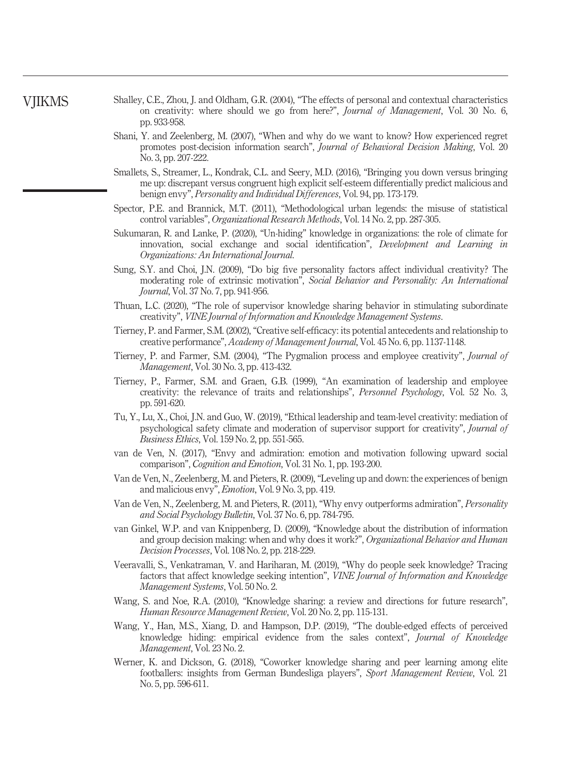- <span id="page-17-18"></span><span id="page-17-17"></span><span id="page-17-16"></span><span id="page-17-15"></span><span id="page-17-14"></span><span id="page-17-13"></span><span id="page-17-12"></span><span id="page-17-11"></span><span id="page-17-10"></span><span id="page-17-9"></span><span id="page-17-8"></span><span id="page-17-7"></span><span id="page-17-6"></span><span id="page-17-5"></span><span id="page-17-4"></span><span id="page-17-3"></span><span id="page-17-2"></span><span id="page-17-1"></span><span id="page-17-0"></span>Shalley, C.E., Zhou, J. and Oldham, G.R. (2004), "The effects of personal and contextual characteristics on creativity: where should we go from here?", Journal of Management, Vol. 30 No. 6, pp. 933-958.
	- Shani, Y. and Zeelenberg, M. (2007), "When and why do we want to know? How experienced regret promotes post-decision information search", Journal of Behavioral Decision Making, Vol. 20 No. 3, pp. 207-222.
	- Smallets, S., Streamer, L., Kondrak, C.L. and Seery, M.D. (2016), "Bringing you down versus bringing me up: discrepant versus congruent high explicit self-esteem differentially predict malicious and benign envy", Personality and Individual Differences, Vol. 94, pp. 173-179.
	- Spector, P.E. and Brannick, M.T. (2011), "Methodological urban legends: the misuse of statistical control variables", Organizational Research Methods, Vol. 14 No. 2, pp. 287-305.
	- Sukumaran, R. and Lanke, P. (2020), "Un-hiding" knowledge in organizations: the role of climate for innovation, social exchange and social identification", Development and Learning in Organizations: An International Journal.
	- Sung, S.Y. and Choi, J.N. (2009), "Do big five personality factors affect individual creativity? The moderating role of extrinsic motivation", Social Behavior and Personality: An International Journal, Vol. 37 No. 7, pp. 941-956.
	- Thuan, L.C. (2020), "The role of supervisor knowledge sharing behavior in stimulating subordinate creativity", VINE Journal of Information and Knowledge Management Systems.
	- Tierney, P. and Farmer, S.M. (2002), "Creative self-efficacy: its potential antecedents and relationship to creative performance", Academy of Management Journal, Vol. 45 No. 6, pp. 1137-1148.
	- Tierney, P. and Farmer, S.M. (2004), "The Pygmalion process and employee creativity", Journal of Management, Vol. 30 No. 3, pp. 413-432.
	- Tierney, P., Farmer, S.M. and Graen, G.B. (1999), "An examination of leadership and employee creativity: the relevance of traits and relationships", Personnel Psychology, Vol. 52 No. 3, pp. 591-620.
	- Tu, Y., Lu, X., Choi, J.N. and Guo, W. (2019), "Ethical leadership and team-level creativity: mediation of psychological safety climate and moderation of supervisor support for creativity", Journal of Business Ethics, Vol. 159 No. 2, pp. 551-565.
	- van de Ven, N. (2017), "Envy and admiration: emotion and motivation following upward social comparison", Cognition and Emotion, Vol. 31 No. 1, pp. 193-200.
	- Van de Ven, N., Zeelenberg, M. and Pieters, R. (2009), "Leveling up and down: the experiences of benign and malicious envy", Emotion, Vol. 9 No. 3, pp. 419.
	- Van de Ven, N., Zeelenberg, M. and Pieters, R. (2011), "Why envy outperforms admiration", Personality and Social Psychology Bulletin, Vol. 37 No. 6, pp. 784-795.
	- van Ginkel, W.P. and van Knippenberg, D. (2009), "Knowledge about the distribution of information and group decision making: when and why does it work?", Organizational Behavior and Human Decision Processes, Vol. 108 No. 2, pp. 218-229.
	- Veeravalli, S., Venkatraman, V. and Hariharan, M. (2019), "Why do people seek knowledge? Tracing factors that affect knowledge seeking intention", VINE Journal of Information and Knowledge Management Systems, Vol. 50 No. 2.
	- Wang, S. and Noe, R.A. (2010), "Knowledge sharing: a review and directions for future research", Human Resource Management Review, Vol. 20 No. 2, pp. 115-131.
	- Wang, Y., Han, M.S., Xiang, D. and Hampson, D.P. (2019), "The double-edged effects of perceived knowledge hiding: empirical evidence from the sales context", Journal of Knowledge Management, Vol. 23 No. 2.
	- Werner, K. and Dickson, G. (2018), "Coworker knowledge sharing and peer learning among elite footballers: insights from German Bundesliga players", Sport Management Review, Vol. 21 No. 5, pp. 596-611.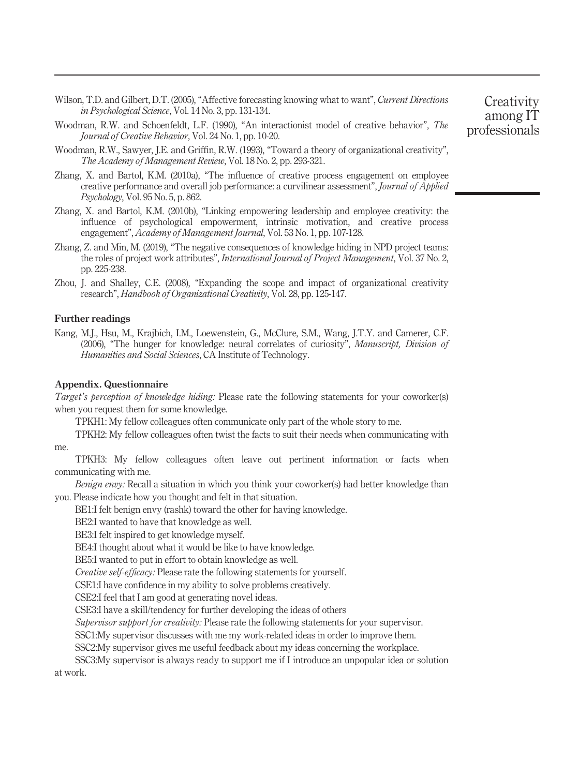- <span id="page-18-3"></span>Wilson, T.D. and Gilbert, D.T. (2005), "Affective forecasting knowing what to want", Current Directions in Psychological Science, Vol. 14 No. 3, pp. 131-134.
- <span id="page-18-0"></span>Woodman, R.W. and Schoenfeldt, L.F. (1990), "An interactionist model of creative behavior", The Journal of Creative Behavior, Vol. 24 No. 1, pp. 10-20.
- <span id="page-18-1"></span>Woodman, R.W., Sawyer, J.E. and Griffin, R.W. (1993), "Toward a theory of organizational creativity", The Academy of Management Review, Vol. 18 No. 2, pp. 293-321.
- <span id="page-18-4"></span>Zhang, X. and Bartol, K.M. (2010a), "The influence of creative process engagement on employee creative performance and overall job performance: a curvilinear assessment", Journal of Applied Psychology, Vol. 95 No. 5, p. 862.
- <span id="page-18-5"></span>Zhang, X. and Bartol, K.M. (2010b), "Linking empowering leadership and employee creativity: the influence of psychological empowerment, intrinsic motivation, and creative process engagement", Academy of Management Journal, Vol. 53 No. 1, pp. 107-128.
- <span id="page-18-6"></span>Zhang, Z. and Min, M. (2019), "The negative consequences of knowledge hiding in NPD project teams: the roles of project work attributes", International Journal of Project Management, Vol. 37 No. 2, pp. 225-238.
- <span id="page-18-2"></span>Zhou, J. and Shalley, C.E. (2008), "Expanding the scope and impact of organizational creativity research", Handbook of Organizational Creativity, Vol. 28, pp. 125-147.

#### Further readings

Kang, M.J., Hsu, M., Krajbich, I.M., Loewenstein, G., McClure, S.M., Wang, J.T.Y. and Camerer, C.F. (2006), "The hunger for knowledge: neural correlates of curiosity", Manuscript, Division of Humanities and Social Sciences, CA Institute of Technology.

#### Appendix. Questionnaire

Target's perception of knowledge hiding: Please rate the following statements for your coworker(s) when you request them for some knowledge.

TPKH1: My fellow colleagues often communicate only part of the whole story to me.

TPKH2: My fellow colleagues often twist the facts to suit their needs when communicating with me.

TPKH3: My fellow colleagues often leave out pertinent information or facts when communicating with me.

Benign envy: Recall a situation in which you think your coworker(s) had better knowledge than you. Please indicate how you thought and felt in that situation.

BE1:I felt benign envy (rashk) toward the other for having knowledge.

BE2:I wanted to have that knowledge as well.

BE3:I felt inspired to get knowledge myself.

BE4:I thought about what it would be like to have knowledge.

BE5:I wanted to put in effort to obtain knowledge as well.

Creative self-efficacy: Please rate the following statements for yourself.

CSE1:I have confidence in my ability to solve problems creatively.

CSE2:I feel that I am good at generating novel ideas.

CSE3:I have a skill/tendency for further developing the ideas of others

Supervisor support for creativity: Please rate the following statements for your supervisor.

SSC1:My supervisor discusses with me my work-related ideas in order to improve them.

SSC2:My supervisor gives me useful feedback about my ideas concerning the workplace.

SSC3:My supervisor is always ready to support me if I introduce an unpopular idea or solution at work.